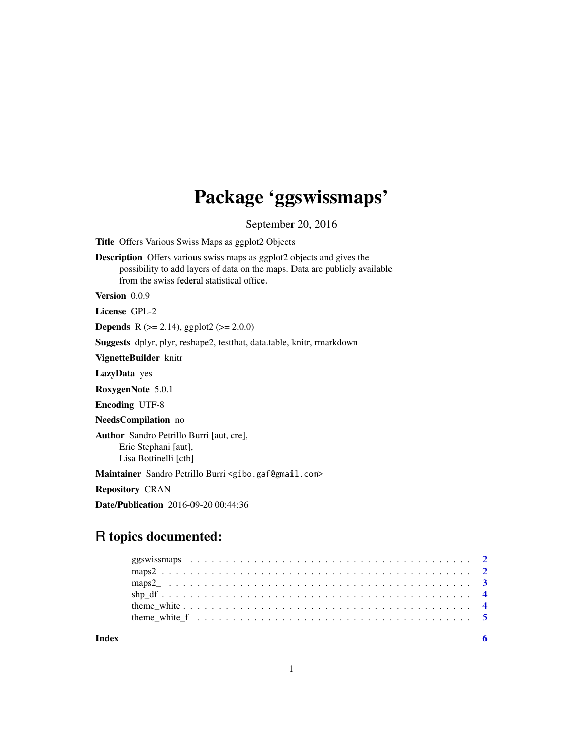## Package 'ggswissmaps'

September 20, 2016

Title Offers Various Swiss Maps as ggplot2 Objects

Description Offers various swiss maps as ggplot2 objects and gives the possibility to add layers of data on the maps. Data are publicly available from the swiss federal statistical office.

Version 0.0.9

License GPL-2

**Depends** R  $(>= 2.14)$ , ggplot2  $(>= 2.0.0)$ 

Suggests dplyr, plyr, reshape2, testthat, data.table, knitr, rmarkdown

VignetteBuilder knitr

LazyData yes

RoxygenNote 5.0.1

Encoding UTF-8

NeedsCompilation no

Author Sandro Petrillo Burri [aut, cre], Eric Stephani [aut], Lisa Bottinelli [ctb]

Maintainer Sandro Petrillo Burri <gibo.gaf@gmail.com>

Repository CRAN

Date/Publication 2016-09-20 00:44:36

## R topics documented:

| theme white f $\ldots$ , $\ldots$ , $\ldots$ , $\ldots$ , $\ldots$ , $\ldots$ , $\ldots$ , $\ldots$ , $\ldots$ , $\ldots$ , $\ldots$ , $\ldots$ |  |  |  |  |  |  |  |  |  |  |  |  |  |  |  |  |  |  |  |  |
|-------------------------------------------------------------------------------------------------------------------------------------------------|--|--|--|--|--|--|--|--|--|--|--|--|--|--|--|--|--|--|--|--|
|                                                                                                                                                 |  |  |  |  |  |  |  |  |  |  |  |  |  |  |  |  |  |  |  |  |

**Index** [6](#page-5-0) **6**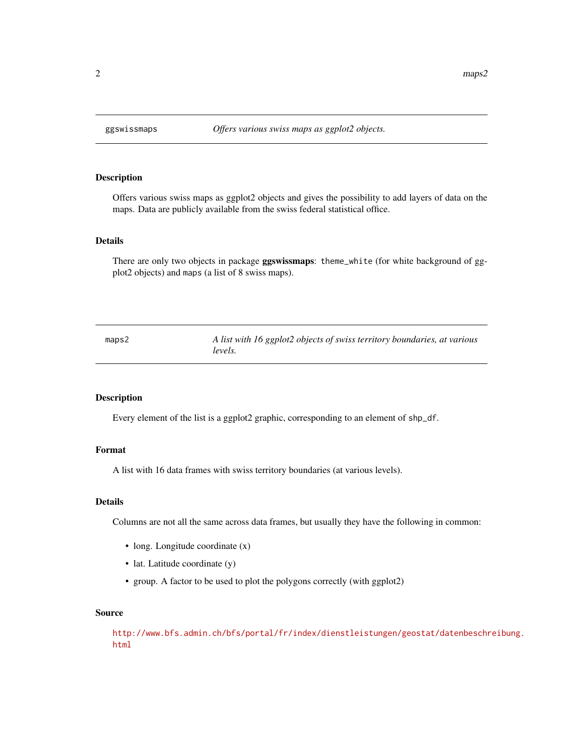<span id="page-1-0"></span>

#### Description

Offers various swiss maps as ggplot2 objects and gives the possibility to add layers of data on the maps. Data are publicly available from the swiss federal statistical office.

#### Details

There are only two objects in package ggswissmaps: theme\_white (for white background of ggplot2 objects) and maps (a list of 8 swiss maps).

maps2 *A list with 16 ggplot2 objects of swiss territory boundaries, at various levels.*

#### Description

Every element of the list is a ggplot2 graphic, corresponding to an element of shp\_df.

#### Format

A list with 16 data frames with swiss territory boundaries (at various levels).

#### Details

Columns are not all the same across data frames, but usually they have the following in common:

- long. Longitude coordinate  $(x)$
- lat. Latitude coordinate (y)
- group. A factor to be used to plot the polygons correctly (with ggplot2)

#### Source

```
http://www.bfs.admin.ch/bfs/portal/fr/index/dienstleistungen/geostat/datenbeschreibung.
html
```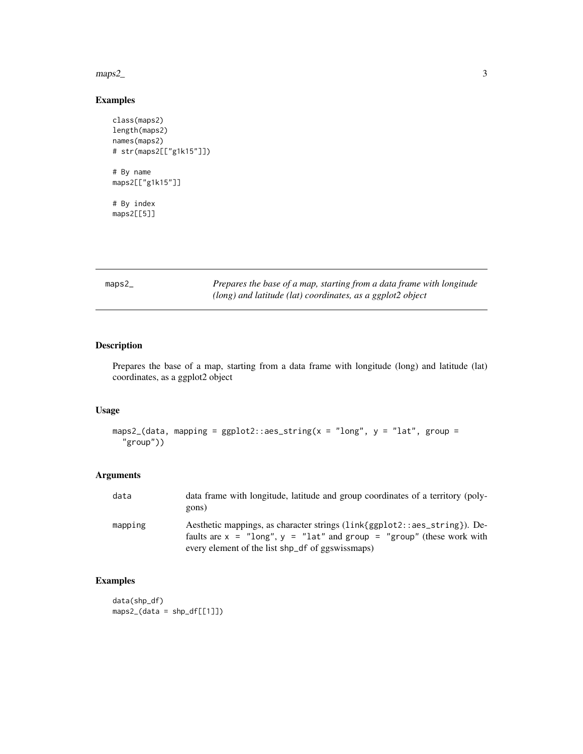<span id="page-2-0"></span>maps2\_

## Examples

```
class(maps2)
length(maps2)
names(maps2)
# str(maps2[["g1k15"]])
# By name
maps2[["g1k15"]]
# By index
maps2[[5]]
```
maps2\_ *Prepares the base of a map, starting from a data frame with longitude (long) and latitude (lat) coordinates, as a ggplot2 object*

## Description

Prepares the base of a map, starting from a data frame with longitude (long) and latitude (lat) coordinates, as a ggplot2 object

#### Usage

```
maps2_(data, mapping = ggplot2::aes_string(x = "long", y = "lat", group =
  "group"))
```
#### Arguments

| data    | data frame with longitude, latitude and group coordinates of a territory (poly-<br>gons)                                                                                                                   |
|---------|------------------------------------------------------------------------------------------------------------------------------------------------------------------------------------------------------------|
| mapping | Aesthetic mappings, as character strings (link{ggplot2::aes_string}). De-<br>faults are $x =$ "long", $y =$ "lat" and group = "group" (these work with<br>every element of the list shp_df of ggswissmaps) |

## Examples

data(shp\_df) maps2\_(data = shp\_df[[1]])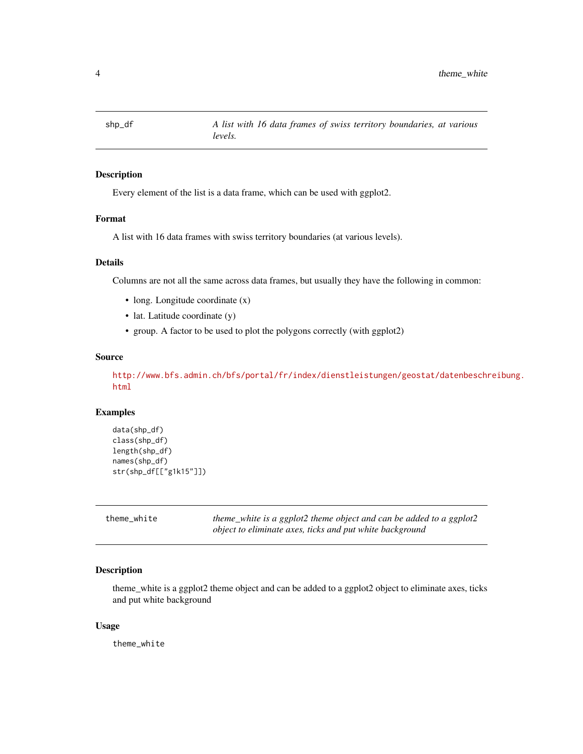<span id="page-3-0"></span>

#### Description

Every element of the list is a data frame, which can be used with ggplot2.

#### Format

A list with 16 data frames with swiss territory boundaries (at various levels).

#### Details

Columns are not all the same across data frames, but usually they have the following in common:

- long. Longitude coordinate  $(x)$
- lat. Latitude coordinate (y)
- group. A factor to be used to plot the polygons correctly (with ggplot2)

#### Source

[http://www.bfs.admin.ch/bfs/portal/fr/index/dienstleistungen/geostat/datenbeschr](http://www.bfs.admin.ch/bfs/portal/fr/index/dienstleistungen/geostat/datenbeschreibung.html)eibung. [html](http://www.bfs.admin.ch/bfs/portal/fr/index/dienstleistungen/geostat/datenbeschreibung.html)

#### Examples

```
data(shp_df)
class(shp_df)
length(shp_df)
names(shp_df)
str(shp_df[["g1k15"]])
```
theme\_white *theme\_white is a ggplot2 theme object and can be added to a ggplot2 object to eliminate axes, ticks and put white background*

#### Description

theme\_white is a ggplot2 theme object and can be added to a ggplot2 object to eliminate axes, ticks and put white background

#### Usage

theme\_white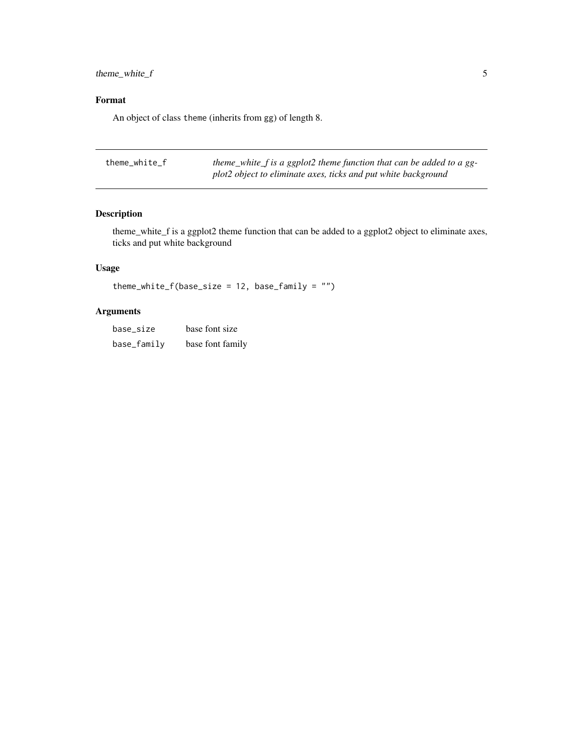<span id="page-4-0"></span>theme\_white\_f 5

### Format

An object of class theme (inherits from gg) of length 8.

| theme white f | theme_white_f is a ggplot2 theme function that can be added to a gg- |
|---------------|----------------------------------------------------------------------|
|               | plot2 object to eliminate axes, ticks and put white background       |

## Description

theme\_white\_f is a ggplot2 theme function that can be added to a ggplot2 object to eliminate axes, ticks and put white background

## Usage

```
theme_white_f(base_size = 12, base_family = "")
```
## Arguments

| base size   | base font size   |
|-------------|------------------|
| base_family | base font family |